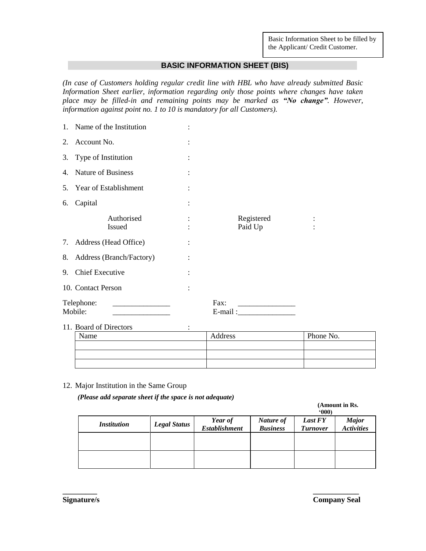Basic Information Sheet to be filled by the Applicant/ Credit Customer.

### **BASIC INFORMATION SHEET (BIS)**

*(In case of Customers holding regular credit line with HBL who have already submitted Basic Information Sheet earlier, information regarding only those points where changes have taken place may be filled-in and remaining points may be marked as "No change". However, information against point no. 1 to 10 is mandatory for all Customers).* 

|    | 1. Name of the Institution  |                |                       |  |
|----|-----------------------------|----------------|-----------------------|--|
| 2. | Account No.                 | $\ddot{\cdot}$ |                       |  |
|    | 3. Type of Institution      |                |                       |  |
| 4. | Nature of Business          | $\ddot{\cdot}$ |                       |  |
| 5. | Year of Establishment       |                |                       |  |
| 6. | Capital                     |                |                       |  |
|    | Authorised<br><b>Issued</b> | $\ddot{\cdot}$ | Registered<br>Paid Up |  |
| 7. | Address (Head Office)       |                |                       |  |
| 8. | Address (Branch/Factory)    |                |                       |  |
| 9. | <b>Chief Executive</b>      |                |                       |  |
|    | 10. Contact Person          | $\ddot{\cdot}$ |                       |  |
|    | Telephone:<br>Mobile:       |                | Fax:<br>E-mail:       |  |

### 11. Board of Directors :

| Name | Address | Phone No. |
|------|---------|-----------|
|      |         |           |
|      |         |           |
|      |         |           |

12. Major Institution in the Same Group

*(Please add separate sheet if the space is not adequate)*

### **(Amount in Rs.**

|                    |                     |                                 |                              | 600                               |                                   |
|--------------------|---------------------|---------------------------------|------------------------------|-----------------------------------|-----------------------------------|
| <i>Institution</i> | <b>Legal Status</b> | Year of<br><b>Establishment</b> | Nature of<br><b>Business</b> | <b>Last FY</b><br><b>Turnover</b> | <b>Major</b><br><b>Activities</b> |
|                    |                     |                                 |                              |                                   |                                   |
|                    |                     |                                 |                              |                                   |                                   |
|                    |                     |                                 |                              |                                   |                                   |

**\_\_\_\_\_\_\_\_\_ \_\_\_\_\_\_\_\_\_\_\_\_**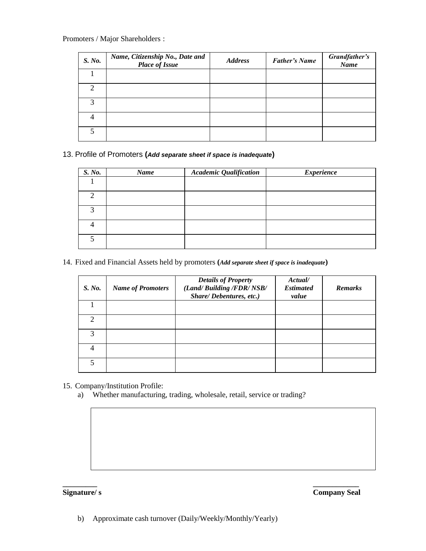### Promoters / Major Shareholders :

| S. No.                      | Name, Citizenship No., Date and<br><b>Place of Issue</b> | <b>Address</b> | <b>Father's Name</b> | Grandfather's<br>Name |
|-----------------------------|----------------------------------------------------------|----------------|----------------------|-----------------------|
|                             |                                                          |                |                      |                       |
| $\mathcal{D}_{\mathcal{L}}$ |                                                          |                |                      |                       |
| $\mathcal{R}$               |                                                          |                |                      |                       |
| 4                           |                                                          |                |                      |                       |
|                             |                                                          |                |                      |                       |

13. Profile of Promoters **(***Add separate sheet if space is inadequate***)**

| S. No. | Name | <b>Academic Qualification</b> | <b>Experience</b> |
|--------|------|-------------------------------|-------------------|
|        |      |                               |                   |
| ◠      |      |                               |                   |
| 3      |      |                               |                   |
|        |      |                               |                   |
|        |      |                               |                   |

14. Fixed and Financial Assets held by promoters **(***Add separate sheet if space is inadequate***)**

| S. No.                      | <b>Name of Promoters</b> | <b>Details of Property</b><br>(Land/Building /FDR/NSB/<br>Share/Debentures, etc.) | Actual/<br><b>Estimated</b><br>value | <b>Remarks</b> |
|-----------------------------|--------------------------|-----------------------------------------------------------------------------------|--------------------------------------|----------------|
|                             |                          |                                                                                   |                                      |                |
| $\mathcal{D}_{\mathcal{L}}$ |                          |                                                                                   |                                      |                |
| 3                           |                          |                                                                                   |                                      |                |
|                             |                          |                                                                                   |                                      |                |
|                             |                          |                                                                                   |                                      |                |

- 15. Company/Institution Profile:
	- a) Whether manufacturing, trading, wholesale, retail, service or trading?

**\_\_\_\_\_\_\_\_\_ \_\_\_\_\_\_\_\_\_\_\_\_**

**Signature/ s Company Seal**

b) Approximate cash turnover (Daily/Weekly/Monthly/Yearly)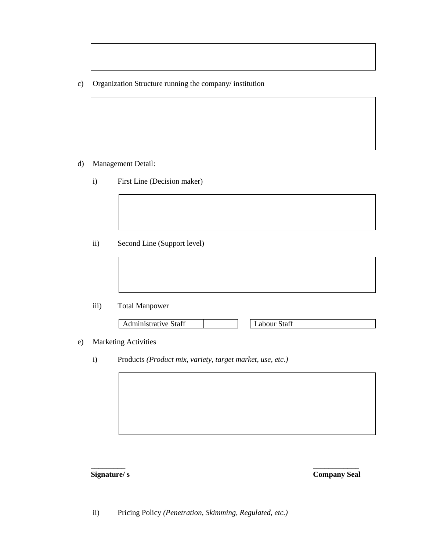c) Organization Structure running the company/ institution

- d) Management Detail:
	- i) First Line (Decision maker)

ii) Second Line (Support level)

iii) Total Manpower

| Administrative Staff | Labour Staff |  |
|----------------------|--------------|--|

e) Marketing Activities

i) Products *(Product mix, variety, target market, use, etc.)*

# **\_\_\_\_\_\_\_\_\_ \_\_\_\_\_\_\_\_\_\_\_\_**

**Signature/ s Company Seal**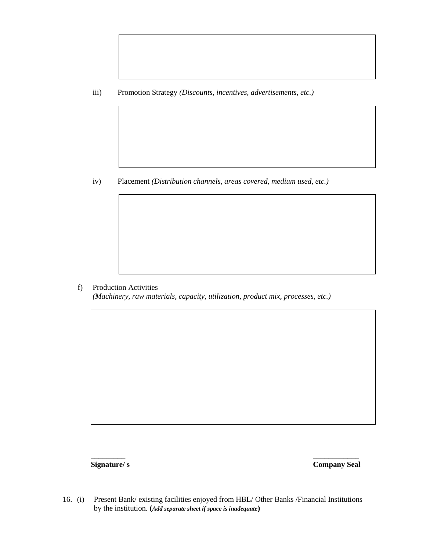iii) Promotion Strategy *(Discounts, incentives, advertisements, etc.)*

iv) Placement *(Distribution channels, areas covered, medium used, etc.)*

f) Production Activities *(Machinery, raw materials, capacity, utilization, product mix, processes, etc.)*

**Signature/ s Company Seal**

16. (i) Present Bank/ existing facilities enjoyed from HBL/ Other Banks /Financial Institutions by the institution. **(***Add separate sheet if space is inadequate***)**

**\_\_\_\_\_\_\_\_\_ \_\_\_\_\_\_\_\_\_\_\_\_**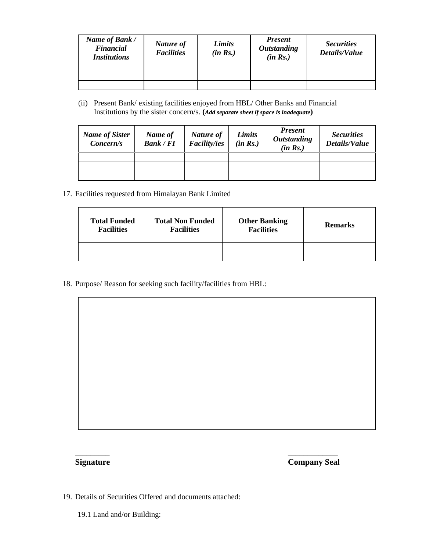| Name of Bank /<br><b>Financial</b><br><i><b>Institutions</b></i> | Nature of<br><b>Facilities</b> | Limits<br>(in Rs.) | <b>Present</b><br><b>Outstanding</b><br>(in Rs.) | <b>Securities</b><br>Details/Value |
|------------------------------------------------------------------|--------------------------------|--------------------|--------------------------------------------------|------------------------------------|
|                                                                  |                                |                    |                                                  |                                    |
|                                                                  |                                |                    |                                                  |                                    |
|                                                                  |                                |                    |                                                  |                                    |

(ii) Present Bank/ existing facilities enjoyed from HBL/ Other Banks and Financial Institutions by the sister concern/s. **(***Add separate sheet if space is inadequate***)**

| <b>Name of Sister</b><br>Concern/s | Name of<br><b>Bank / FI</b> | Nature of<br><b>Facility/ies</b> | Limits<br>(in Rs.) | <b>Present</b><br><b>Outstanding</b><br>(in Rs.) | <b>Securities</b><br>Details/Value |
|------------------------------------|-----------------------------|----------------------------------|--------------------|--------------------------------------------------|------------------------------------|
|                                    |                             |                                  |                    |                                                  |                                    |
|                                    |                             |                                  |                    |                                                  |                                    |
|                                    |                             |                                  |                    |                                                  |                                    |

17. Facilities requested from Himalayan Bank Limited

| <b>Total Funded</b> | <b>Total Non Funded</b> | <b>Other Banking</b> | <b>Remarks</b> |
|---------------------|-------------------------|----------------------|----------------|
| <b>Facilities</b>   | <b>Facilities</b>       | <b>Facilities</b>    |                |
|                     |                         |                      |                |

**\_\_\_\_\_\_\_\_\_ \_\_\_\_\_\_\_\_\_\_\_\_\_**

18. Purpose/ Reason for seeking such facility/facilities from HBL:

**Signature Company Seal**

19. Details of Securities Offered and documents attached:

19.1 Land and/or Building: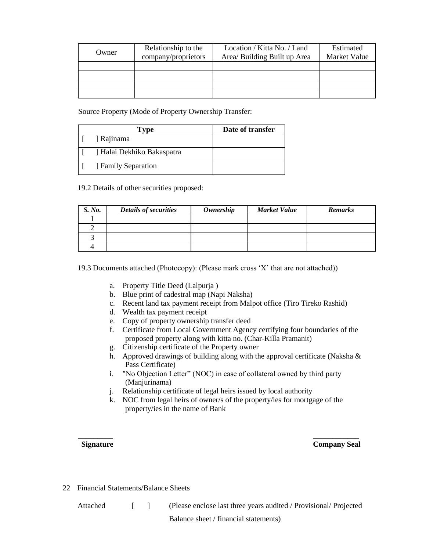| Owner | Relationship to the<br>company/proprietors | Location / Kitta No. / Land<br>Area/ Building Built up Area | Estimated<br><b>Market Value</b> |
|-------|--------------------------------------------|-------------------------------------------------------------|----------------------------------|
|       |                                            |                                                             |                                  |
|       |                                            |                                                             |                                  |
|       |                                            |                                                             |                                  |
|       |                                            |                                                             |                                  |

Source Property (Mode of Property Ownership Transfer:

| Type                       | Date of transfer |
|----------------------------|------------------|
| ] Rajinama                 |                  |
| ] Halai Dekhiko Bakaspatra |                  |
| <b>Family Separation</b>   |                  |

19.2 Details of other securities proposed:

| S. No. | <b>Details of securities</b> | Ownership | <b>Market Value</b> | <b>Remarks</b> |
|--------|------------------------------|-----------|---------------------|----------------|
|        |                              |           |                     |                |
|        |                              |           |                     |                |
|        |                              |           |                     |                |
|        |                              |           |                     |                |

19.3 Documents attached (Photocopy): (Please mark cross 'X' that are not attached))

- a. Property Title Deed (Lalpurja )
- b. Blue print of cadestral map (Napi Naksha)
- c. Recent land tax payment receipt from Malpot office (Tiro Tireko Rashid)
- d. Wealth tax payment receipt
- e. Copy of property ownership transfer deed
- f. Certificate from Local Government Agency certifying four boundaries of the proposed property along with kitta no. (Char-Killa Pramanit)
- g. Citizenship certificate of the Property owner
- h. Approved drawings of building along with the approval certificate (Naksha  $\&$ Pass Certificate)
- i. "No Objection Letter" (NOC) in case of collateral owned by third party (Manjurinama)
- j. Relationship certificate of legal heirs issued by local authority
- k. NOC from legal heirs of owner/s of the property/ies for mortgage of the property/ies in the name of Bank

**\_\_\_\_\_\_\_\_\_ \_\_\_\_\_\_\_\_\_\_\_\_**

**Signature Company Seal**

22 Financial Statements/Balance Sheets

Attached [ ] (Please enclose last three years audited / Provisional/ Projected Balance sheet / financial statements)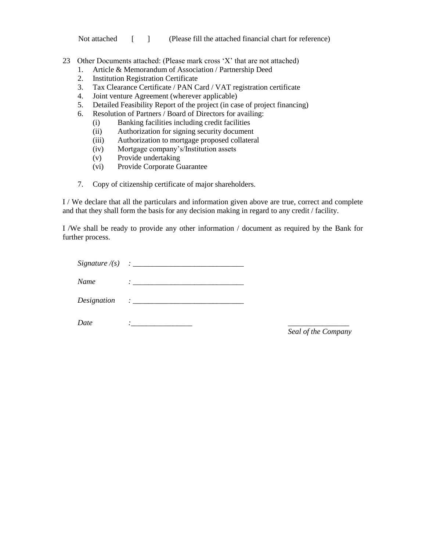Not attached [ ] (Please fill the attached financial chart for reference)

- 23 Other Documents attached: (Please mark cross 'X' that are not attached)
	- 1. Article & Memorandum of Association / Partnership Deed
	- 2. Institution Registration Certificate
	- 3. Tax Clearance Certificate / PAN Card / VAT registration certificate
	- 4. Joint venture Agreement (wherever applicable)
	- 5. Detailed Feasibility Report of the project (in case of project financing)
	- 6. Resolution of Partners / Board of Directors for availing:
		- (i) Banking facilities including credit facilities
		- (ii) Authorization for signing security document
		- (iii) Authorization to mortgage proposed collateral
		- (iv) Mortgage company's/Institution assets
		- (v) Provide undertaking
		- (vi) Provide Corporate Guarantee
	- 7. Copy of citizenship certificate of major shareholders.

I / We declare that all the particulars and information given above are true, correct and complete and that they shall form the basis for any decision making in regard to any credit / facility.

I /We shall be ready to provide any other information / document as required by the Bank for further process.

 $Signature / (s) : ____________$ *Name : \_\_\_\_\_\_\_\_\_\_\_\_\_\_\_\_\_\_\_\_\_\_\_\_\_\_\_\_\_*

*Designation : \_\_\_\_\_\_\_\_\_\_\_\_\_\_\_\_\_\_\_\_\_\_\_\_\_\_\_\_\_*

*Date :\_\_\_\_\_\_\_\_\_\_\_\_\_\_\_\_ \_\_\_\_\_\_\_\_\_\_\_\_\_\_\_\_*

*Seal of the Company*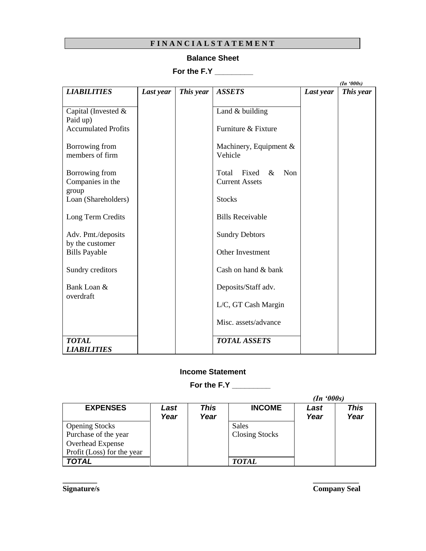# **F I N A N C I A L S T A T E M E N T**

## **Balance Sheet**

# **For the F.Y \_\_\_\_\_\_\_\_\_**

|                                         |           |           |                                                        |           | (In '000s) |
|-----------------------------------------|-----------|-----------|--------------------------------------------------------|-----------|------------|
| <b>LIABILITIES</b>                      | Last year | This year | <b>ASSETS</b>                                          | Last year | This year  |
| Capital (Invested $&$                   |           |           | Land $&$ building                                      |           |            |
| Paid up)<br><b>Accumulated Profits</b>  |           |           | Furniture & Fixture                                    |           |            |
| Borrowing from<br>members of firm       |           |           | Machinery, Equipment $\&$<br>Vehicle                   |           |            |
| Borrowing from<br>Companies in the      |           |           | Non<br>Total<br>Fixed<br>$\&$<br><b>Current Assets</b> |           |            |
| group<br>Loan (Shareholders)            |           |           | <b>Stocks</b>                                          |           |            |
| Long Term Credits                       |           |           | <b>Bills Receivable</b>                                |           |            |
| Adv. Pmt./deposits                      |           |           | <b>Sundry Debtors</b>                                  |           |            |
| by the customer<br><b>Bills Payable</b> |           |           | Other Investment                                       |           |            |
| Sundry creditors                        |           |           | Cash on hand & bank                                    |           |            |
| Bank Loan &                             |           |           | Deposits/Staff adv.                                    |           |            |
| overdraft                               |           |           | L/C, GT Cash Margin                                    |           |            |
|                                         |           |           | Misc. assets/advance                                   |           |            |
| <b>TOTAL</b><br><b>LIABILITIES</b>      |           |           | <b>TOTAL ASSETS</b>                                    |           |            |

### **Income Statement**

**For the F.Y \_\_\_\_\_\_\_\_\_**

|                            |              |              |                       | (In '000s)   |                     |  |
|----------------------------|--------------|--------------|-----------------------|--------------|---------------------|--|
| <b>EXPENSES</b>            | Last<br>Year | This<br>Year | <b>INCOME</b>         | Last<br>Year | <b>This</b><br>Year |  |
| <b>Opening Stocks</b>      |              |              | Sales                 |              |                     |  |
| Purchase of the year       |              |              | <b>Closing Stocks</b> |              |                     |  |
| Overhead Expense           |              |              |                       |              |                     |  |
| Profit (Loss) for the year |              |              |                       |              |                     |  |
| TOTAL                      |              |              | <b>TOTAL</b>          |              |                     |  |

**\_\_\_\_\_\_\_\_\_ \_\_\_\_\_\_\_\_\_\_\_\_**

**Signature/s Company Seal**